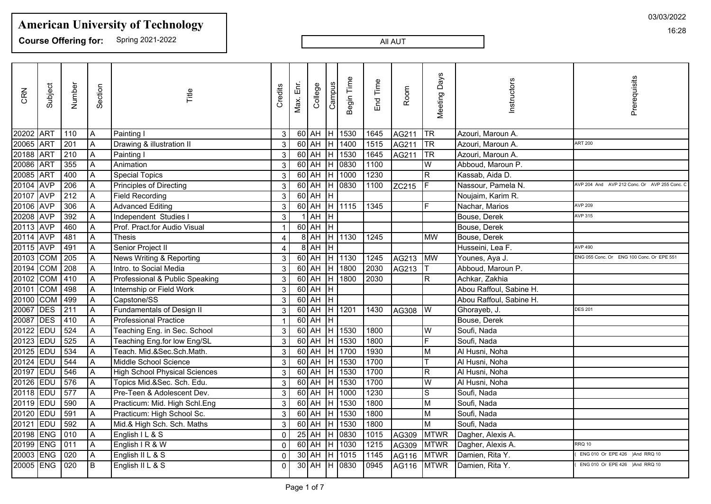**Course Offering for:** Spring 2021-2022

#### All AUT

| CRN       | Subject       | Number        | Section        | Title                                | Credits  | Max. Enr. | College       | Campus | Begin Time   | End Time | Room  | <b>Meeting Days</b> | Instructors             | Prerequisits                               |
|-----------|---------------|---------------|----------------|--------------------------------------|----------|-----------|---------------|--------|--------------|----------|-------|---------------------|-------------------------|--------------------------------------------|
| 20202 ART |               | 110           | A              | Painting I                           | 3        |           | 60 AH H 1530  |        |              | 1645     | AG211 | TR                  | Azouri, Maroun A.       |                                            |
| 20065 ART |               | 201           | A              | Drawing & illustration II            | 3        |           | 60 AH H 1400  |        |              | 1515     | AG211 | TR                  | Azouri, Maroun A.       | <b>ART 200</b>                             |
| 20188 ART |               | 210           | A              | Painting I                           | 3        |           |               |        | 60 AH H 1530 | 1645     | AG211 | <b>TR</b>           | Azouri, Maroun A.       |                                            |
| 20086 ART |               | 355           | l A            | Animation                            | 3        |           |               |        | 60 AH H 0830 | 1100     |       | lw.                 | Abboud, Maroun P.       |                                            |
| 20085 ART |               | 400           | A              | <b>Special Topics</b>                | 3        |           |               |        | 60 AH H 1000 | 1230     |       | R.                  | Kassab, Aida D.         |                                            |
| 20104 AVP |               | 206           | A              | Principles of Directing              | 3        |           |               |        | 60 AH H 0830 | 1100     | ZC215 |                     | Nassour, Pamela N.      | AVP 204 And AVP 212 Conc. Or AVP 255 Conc. |
| 20107 AVP |               | 212           | A              | <b>Field Recording</b>               | 3        |           | $60$ $AH$ $H$ |        |              |          |       |                     | Noujaim, Karim R.       |                                            |
| 20106 AVP |               | 306           | $\overline{A}$ | <b>Advanced Editing</b>              | 3        |           |               |        | 60 AH H 1115 | 1345     |       |                     | Nachar, Marios          | <b>AVP 209</b>                             |
| 20208 AVP |               | 392           | A              | Independent Studies I                | 3        |           | $1$ $AH$ $H$  |        |              |          |       |                     | Bouse, Derek            | <b>AVP 315</b>                             |
| 20113 AVP |               | 460           | A              | Prof. Pract.for Audio Visual         |          |           | $60$ $AH$ $H$ |        |              |          |       |                     | Bouse, Derek            |                                            |
| 20114 AVP |               | 481           | A              | <b>Thesis</b>                        |          |           |               |        | 8 AH H 1130  | 1245     |       | <b>MW</b>           | Bouse, Derek            |                                            |
| 20115 AVP |               | 491           | A              | Senior Project II                    | 4        |           | $8$ AH        | Iн.    |              |          |       |                     | Husseini, Lea F.        | <b>AVP 490</b>                             |
|           | 20103 COM     | 205           | A              | News Writing & Reporting             | 3        |           | 60 AH H 1130  |        |              | 1245     | AG213 | MW                  | Younes, Aya J.          | ENG 055 Conc. Or ENG 100 Conc. Or EPE 551  |
|           | 20194 COM 208 |               |                | Intro. to Social Media               | 3        |           | $60$ AH       |        | H 1800       | 2030     | AG213 |                     | Abboud, Maroun P.       |                                            |
|           | 20102 COM     | $ 410\rangle$ | ΙA.            | Professional & Public Speaking       | 3        |           |               |        | 60 AH H 1800 | 2030     |       | IR.                 | Achkar, Zakhia          |                                            |
|           | 20101 COM     | 498           | A              | Internship or Field Work             | 3        |           | $60$ $AH$ $H$ |        |              |          |       |                     | Abou Raffoul, Sabine H. |                                            |
|           | 20100 COM     | 499           | Α              | Capstone/SS                          | 3        |           | 60 AH H       |        |              |          |       |                     | Abou Raffoul, Sabine H. |                                            |
| 20067 DES |               | 211           | A              | Fundamentals of Design II            | 3        |           | 60 AH H 1201  |        |              | 1430     | AG308 | IW.                 | Ghorayeb, J.            | <b>DES 201</b>                             |
| 20087 DES |               | 410           | A              | <b>Professional Practice</b>         |          |           | $60$ AH $H$   |        |              |          |       |                     | Bouse, Derek            |                                            |
| 20122 EDU |               | 524           | A              | Teaching Eng. in Sec. School         | 3        |           |               |        | 60 AH H 1530 | 1800     |       | lW                  | Soufi, Nada             |                                            |
|           | 20123 EDU     | 525           |                | Teaching Eng.for low Eng/SL          | 3        |           |               |        | 60 AH H 1530 | 1800     |       | l Fi                | Soufi, Nada             |                                            |
|           | 20125 EDU     | 534           | $\overline{A}$ | Teach. Mid.&Sec.Sch.Math.            | 3        |           | 60 AH H 1700  |        |              | 1930     |       | ΙM                  | Al Husni, Noha          |                                            |
| 20124 EDU |               | 544           | A              | Middle School Science                | 3        |           | 60 AH H 1530  |        |              | 1700     |       |                     | Al Husni, Noha          |                                            |
| 20197 EDU |               | 546           | A              | <b>High School Physical Sciences</b> | 3        |           | $60$ AH       |        | H 1530       | 1700     |       | R.                  | Al Husni, Noha          |                                            |
| 20126 EDU |               | 576           | $\overline{A}$ | Topics Mid.&Sec. Sch. Edu.           | 3        |           | 60 AH H 1530  |        |              | 1700     |       | W                   | Al Husni, Noha          |                                            |
|           | 20118 EDU     | 577           | A              | Pre-Teen & Adolescent Dev.           | 3        |           | 60 AH H 1000  |        |              | 1230     |       | <sub>S</sub>        | Soufi, Nada             |                                            |
|           | 20119 EDU     | $\sqrt{590}$  | l A            | Practicum: Mid. High Schl.Eng        | 3        |           | 60 AH H 1530  |        |              | 1800     |       | M                   | Soufi, Nada             |                                            |
|           | 20120 EDU     | 591           | A              | Practicum: High School Sc.           | 3        |           |               |        | 60 AH H 1530 | 1800     |       | M                   | Soufi, Nada             |                                            |
| 20121 EDU |               | 592           | A              | Mid.& High Sch. Sch. Maths           | 3        |           | 60 AH H 1530  |        |              | 1800     |       | M                   | Soufi, Nada             |                                            |
|           | 20198 ENG     | 010           | A              | English I L & S                      | $\Omega$ |           | $25$ AH       |        | $H$ 0830     | 1015     | AG309 | MTWR                | Dagher, Alexis A.       |                                            |
|           | 20199 ENG     | 011           | A              | English I R & W                      | $\Omega$ |           | 60 AH H 1030  |        |              | 1215     | AG309 | MTWR                | Dagher, Alexis A.       | <b>RRQ 10</b>                              |
|           | 20003 ENG     | 020           | A              | English II L & S                     | $\Omega$ |           | $30$ AH       |        | H 1015       | 1145     | AG116 | MTWR                | Damien, Rita Y.         | ENG 010 Or EPE 426 )And RRQ 10             |
|           | 20005 ENG     | 020           | l B            | English II L & S                     | $\Omega$ |           |               |        | 30 AH H 0830 | 0945     | AG116 | <b>MTWR</b>         | Damien, Rita Y.         | ENG 010 Or EPE 426 )And RRQ 10             |
|           |               |               |                |                                      |          |           |               |        |              |          |       |                     |                         |                                            |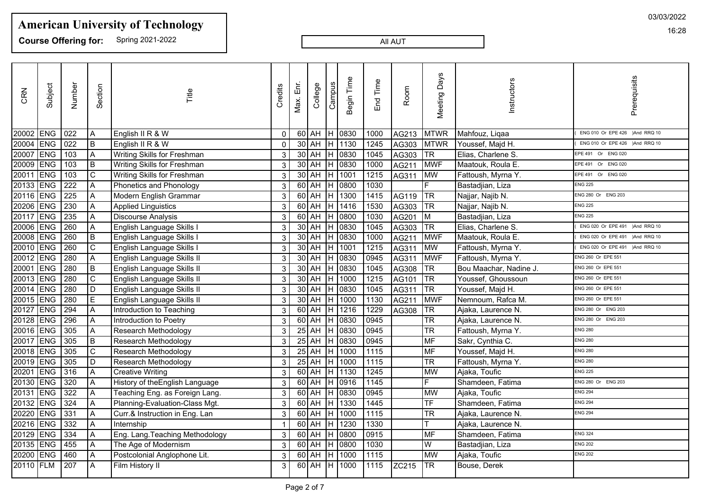**Course Offering for:** Spring 2021-2022

#### All AUT

| CRN       | Subject    | Number           | Section                 | Title                           | Credits      | Max. Enr. | College       | $C$ ampus | Begin Time   | End Time | Room  | <b>Meeting Days</b>      | Instructors            | Prerequisits                   |
|-----------|------------|------------------|-------------------------|---------------------------------|--------------|-----------|---------------|-----------|--------------|----------|-------|--------------------------|------------------------|--------------------------------|
| 20002 ENG |            | 022              | A                       | English II R & W                | $\mathbf{0}$ |           |               |           | 60 AH H 0830 | 1000     | AG213 | MTWR                     | Mahfouz, Liqaa         | ENG 010 Or EPE 426 )And RRQ 10 |
| 20004 ENG |            | $\overline{022}$ | B                       | English II R & W                | $\mathbf{0}$ |           | $30$ AH       | Н         | 1130         | 1245     | AG303 | MTWR                     | Youssef, Majd H.       | ENG 010 Or EPE 426 )And RRQ 10 |
| 20007     | ENG        | 103              | $\overline{A}$          | Writing Skills for Freshman     | 3            |           | $30$ AH       | Н         | 0830         | 1045     | AG303 | TR                       | Elias, Charlene S.     | EPE 491 Or ENG 020             |
| 20009 ENG |            | 103              | B                       | Writing Skills for Freshman     | 3            |           | $30$ AH       | Н         | 0830         | 1000     | AG211 | <b>MWF</b>               | Maatouk, Roula E.      | EPE 491 Or ENG 020             |
| 20011 ENG |            | 103              | C                       | Writing Skills for Freshman     | 3            |           | $30$ AH       | H         | 1001         | 1215     | AG311 | MW                       | Fattoush, Myrna Y.     | EPE 491 Or ENG 020             |
| 20133     | <b>ENG</b> | $\overline{222}$ | $\overline{A}$          | Phonetics and Phonology         | $\mathsf 3$  |           | $60$ AH       | lн        | 0800         | 1030     |       | F.                       | Bastadjian, Liza       | <b>ENG 225</b>                 |
| 20116 ENG |            | 225              | Α                       | Modern English Grammar          | 3            |           | $60$ AH       | H         | 1300         | 1415     | AG119 | <b>TR</b>                | Najjar, Najib N.       | ENG 280 Or ENG 203             |
| 20206     | ENG        | 230              | $\overline{A}$          | <b>Applied Linguistics</b>      | $\mathbf{3}$ |           | $60$ AH       | Ή.        | 1416         | 1530     | AG303 | <b>TR</b>                | Najjar, Najib N.       | <b>ENG 225</b>                 |
| 20117 ENG |            | 235              | A                       | <b>Discourse Analysis</b>       | 3            |           | $60$ AH       | Н         | 0800         | 1030     | AG201 | M                        | Bastadjian, Liza       | <b>ENG 225</b>                 |
| 20006     | <b>ENG</b> | 260              | Α                       | English Language Skills I       | 3            |           | $30$ AH       |           | 0830         | 1045     | AG303 | <b>TR</b>                | Elias, Charlene S.     | ENG 020 Or EPE 491 )And RRQ 10 |
| 20008     | ENG        | 260              | B                       | English Language Skills I       | $\mathbf{3}$ |           | $30$ AH       | Н         | 0830         | 1000     | AG211 | <b>MWF</b>               | Maatouk, Roula E.      | ENG 020 Or EPE 491 )And RRQ 10 |
| 20010 ENG |            | 260              | $\mathsf{C}$            | English Language Skills I       | 3            |           | $30$ AH       | Η         | 1001         | 1215     | AG311 | <b>MW</b>                | Fattoush, Myrna Y.     | ENG 020 Or EPE 491 )And RRQ 10 |
| 20012 ENG |            | 280              | $\overline{A}$          | English Language Skills II      | 3            |           | $30$ AH       |           | 0830         | 0945     | AG311 | <b>MWF</b>               | Fattoush, Myrna Y.     | ENG 260 Or EPE 551             |
| 20001     | ENG        | 280              | B                       | English Language Skills II      | 3            |           | $30$ AH       | H         | 0830         | 1045     | AG308 | <b>TR</b>                | Bou Maachar, Nadine J. | ENG 260 Or EPE 551             |
| 20013     | <b>ENG</b> | 280              | $\overline{\mathrm{c}}$ | English Language Skills II      | 3            |           | $30$ AH       | н         | 1000         | 1215     | AG101 | TR                       | Youssef, Ghoussoun     | ENG 260 Or EPE 551             |
| 20014     | ENG        | 280              | D                       | English Language Skills II      | 3            |           | $30$ AH       |           | 0830         | 1045     | AG311 | TR                       | Youssef, Majd H.       | ENG 260 Or EPE 551             |
| 20015     | ENG        | 280              | E                       | English Language Skills II      | 3            |           | $30$ AH       |           | 1000         | 1130     | AG211 | <b>MWF</b>               | Nemnoum, Rafca M.      | ENG 260 Or EPE 551             |
| 20127 ENG |            | 294              | Α                       | Introduction to Teaching        | $\mathbf{3}$ |           | $60$ AH       | н         | 1216         | 1229     | AG308 | <b>TR</b>                | Ajaka, Laurence N.     | ENG 280 Or ENG 203             |
| 20128     | <b>ENG</b> | 296              | $\overline{A}$          | Introduction to Poetry          | 3            |           | $60$ AH       | Н         | 0830         | 0945     |       | $\overline{\mathsf{TR}}$ | Ajaka, Laurence N.     | ENG 280 Or ENG 203             |
| 20016 ENG |            | 305              | Α                       | Research Methodology            | 3            |           | $25$ AH       |           | 0830         | 0945     |       | <b>TR</b>                | Fattoush, Myrna Y.     | <b>ENG 280</b>                 |
| 20017 ENG |            | 305              | $\overline{B}$          | Research Methodology            | 3            |           | $25$ AH       | Н         | 0830         | 0945     |       | MF                       | Sakr, Cynthia C.       | <b>ENG 280</b>                 |
| 20018 ENG |            | 305              | $\mathbf C$             | Research Methodology            | 3            |           | $25$ AH       | Н         | 1000         | 1115     |       | MF                       | Youssef, Majd H.       | <b>ENG 280</b>                 |
| 20019 ENG |            | 305              | D                       | Research Methodology            | $\mathsf 3$  |           | $25$ AH       |           | 1000         | 1115     |       | $\overline{\text{TR}}$   | Fattoush, Myrna Y.     | <b>ENG 280</b>                 |
| 20201     | ENG        | 316              | A                       | <b>Creative Writing</b>         | 3            |           | $60$ AH       | H         | 1130         | 1245     |       | <b>MW</b>                | Ajaka, Toufic          | <b>ENG 225</b>                 |
| 20130 ENG |            | 320              | A                       | History of the English Language | $\mathsf 3$  |           | $60$ AH       | H.        | 0916         | 1145     |       | F                        | Shamdeen, Fatima       | ENG 280 Or ENG 203             |
| 20131 ENG |            | 322              | A                       | Teaching Eng. as Foreign Lang.  | $\mathsf 3$  |           | $60$ AH       |           | 0830         | 0945     |       | MW                       | Ajaka, Toufic          | <b>ENG 294</b>                 |
| 20132 ENG |            | 324              | $\overline{A}$          | Planning-Evaluation-Class Mgt.  | 3            |           | $60$ AH       | н         | 1330         | 1445     |       | <b>TF</b>                | Shamdeen, Fatima       | <b>ENG 294</b>                 |
| 20220     | ENG        | 331              | $\overline{A}$          | Curr.& Instruction in Eng. Lan  | 3            |           | $60$ AH       | H         | 1000         | 1115     |       | $\overline{\text{TR}}$   | Ajaka, Laurence N.     | <b>ENG 294</b>                 |
| 20216     | <b>ENG</b> | 332              | $\overline{A}$          | Internship                      |              |           | $60$ AH       |           | 1230         | 1330     |       |                          | Ajaka, Laurence N.     |                                |
| 20129 ENG |            | $\frac{1}{334}$  | Α                       | Eng. Lang. Teaching Methodology | 3            |           | $60$ AH       | н         | 0800         | 0915     |       | MF                       | Shamdeen, Fatima       | <b>ENG 324</b>                 |
| 20135 ENG |            | 455              | A                       | The Age of Modernism            | 3            |           | $60$ AH       | н         | 0800         | 1030     |       | W                        | Bastadjian, Liza       | <b>ENG 202</b>                 |
| 20200 ENG |            | 460              | A                       | Postcolonial Anglophone Lit.    | 3            |           | $60$ AH       | Н         | 1000         | 1115     |       | <b>MW</b>                | Ajaka, Toufic          | <b>ENG 202</b>                 |
| 20110 FLM |            | $\overline{207}$ | $\overline{A}$          | Film History II                 | 3            |           | $60$ $AH$ $H$ |           | 1000         | 1115     | ZC215 | <b>TR</b>                | Bouse, Derek           |                                |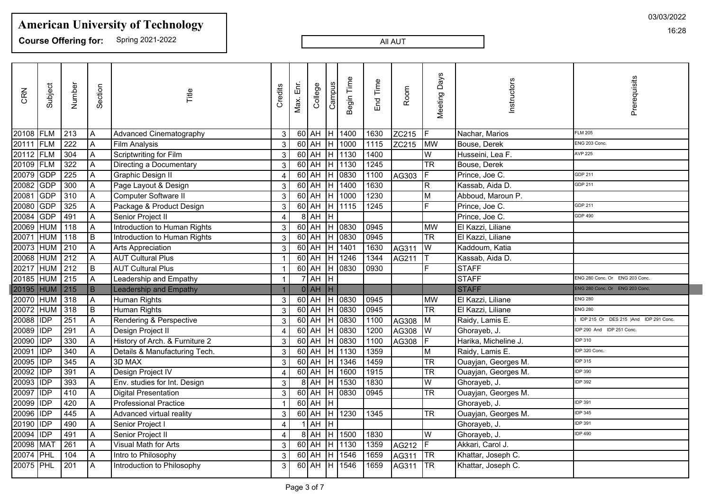**Course Offering for:** Spring 2021-2022

All AUT

| CRN       | Subject     | Number           | Section                   | Title                          | Credits                 | Max. Enr | College                           | Campus                  | Begin Time   | End Time | Room  | Days<br>Meeting        | Instructors          | Prerequisits                          |
|-----------|-------------|------------------|---------------------------|--------------------------------|-------------------------|----------|-----------------------------------|-------------------------|--------------|----------|-------|------------------------|----------------------|---------------------------------------|
| 20108 FLM |             | 213              | $\overline{A}$            | <b>Advanced Cinematography</b> | 3                       |          | $60$ AH $H$                       |                         | 1400         | 1630     | ZC215 |                        | Nachar, Marios       | <b>FLM 205</b>                        |
| 20111     | FLM         | 222              | Α                         | <b>Film Analysis</b>           | $\mathbf{3}$            |          | $60$ AH                           | H                       | 1000         | 1115     | ZC215 | <b>MW</b>              | Bouse, Derek         | ENG 203 Conc.                         |
| 20112 FLM |             | 304              | A                         | Scriptwriting for Film         | $\mathbf{3}$            |          | $60$ AH $H$                       |                         | 1130         | 1400     |       | W                      | Husseini, Lea F.     | <b>AVP 225</b>                        |
| 20109 FLM |             | 322              | $\overline{A}$            | Directing a Documentary        | $\mathbf{3}$            |          | 60 AH H 1130                      |                         |              | 1245     |       | $\overline{\text{TR}}$ | Bouse, Derek         |                                       |
| 20079 GDP |             | 225              | $\overline{A}$            | Graphic Design II              | 4                       |          | $\overline{60}$ AH $\overline{H}$ |                         | 0830         | 1100     | AG303 |                        | Prince, Joe C.       | GDP 211                               |
| 20082     | <b>GDP</b>  | 300              | $\overline{A}$            | Page Layout & Design           | $\mathbf{3}$            |          | 60 AH H 1400                      |                         |              | 1630     |       | R]                     | Kassab, Aida D.      | GDP 211                               |
| 20081     | <b>GDP</b>  | 310              | $\mathsf A$               | Computer Software II           | $\sqrt{3}$              |          | $60$ AH $H$                       |                         | 1000         | 1230     |       | M                      | Abboud, Maroun P.    |                                       |
| 20080     | GDP         | 325              | $\mathsf A$               | Package & Product Design       | $\mathbf{3}$            |          | $60$ AH                           | Iн                      | 1115         | 1245     |       | F                      | Prince, Joe C.       | GDP 211                               |
| 20084     | <b>GDP</b>  | 491              | $\overline{A}$            | Senior Project II              | $\overline{4}$          |          | $8$ AH                            | Τн                      |              |          |       |                        | Prince, Joe C.       | GDP 490                               |
| 20069 HUM |             | $\sqrt{118}$     | $\boldsymbol{\mathsf{A}}$ | Introduction to Human Rights   | $\mathfrak{S}$          |          | $60$ AH                           |                         | $H$ 0830     | 0945     |       | <b>MW</b>              | El Kazzi, Liliane    |                                       |
| 20071     | HUM         | 118              | $\, {\bf B}$              | Introduction to Human Rights   | $\mathbf{3}$            |          | $60$ AH                           | lн                      | 0830         | 0945     |       | <b>TR</b>              | El Kazzi, Liliane    |                                       |
| 20073 HUM |             | $\sqrt{210}$     | $\overline{A}$            | Arts Appreciation              | $\mathbf{3}$            |          | $60$ AH $H$                       |                         | 1401         | 1630     | AG311 | W                      | Kaddoum, Katia       |                                       |
| 20068     | HUM         | $\sqrt{212}$     | A                         | <b>AUT Cultural Plus</b>       | $\overline{1}$          |          | $60$ AH                           | Iн.                     | 1246         | 1344     | AG211 |                        | Kassab, Aida D.      |                                       |
| 20217     | <b>HUM</b>  | 212              | $\, {\sf B}$              | <b>AUT Cultural Plus</b>       | $\mathbf{1}$            |          | $60$ AH                           | Iн                      | 0830         | 0930     |       | F                      | <b>STAFF</b>         |                                       |
| 20185     | <b>HUM</b>  | $\sqrt{215}$     | A                         | Leadership and Empathy         | $\mathbf{1}$            |          | $7$ $AH$ $H$                      |                         |              |          |       |                        | <b>STAFF</b>         | ENG 280 Conc. Or ENG 203 Conc         |
| 20195 HUM |             | $\boxed{215}$    | B                         | <b>Leadership and Empathy</b>  | $\overline{1}$          |          | $0$ AH                            | H                       |              |          |       |                        | <b>STAFF</b>         | ENG 280 Conc. Or ENG 203 Conc         |
| 20070 HUM |             | 318              | $\overline{A}$            | Human Rights                   | $\mathbf{3}$            |          | $60$ $AH$ $H$                     |                         | 0830         | 0945     |       | <b>MW</b>              | El Kazzi, Liliane    | <b>ENG 280</b>                        |
| 20072 HUM |             | $\sqrt{318}$     | B                         | <b>Human Rights</b>            | $\sqrt{3}$              |          | 60 AH H 0830                      |                         |              | 0945     |       | $\overline{\text{TR}}$ | El Kazzi, Liliane    | <b>ENG 280</b>                        |
| 20088     | <b>IDP</b>  | 251              | $\overline{A}$            | Rendering & Perspective        | $\mathbf{3}$            |          | $60$ AH                           |                         | H 0830       | 1100     | AG308 | M                      | Raidy, Lamis E.      | IDP 215 Or DES 215 )And IDP 291 Conc. |
| 20089     | <b>IDP</b>  | 291              | $\boldsymbol{\mathsf{A}}$ | Design Project II              | $\overline{4}$          |          | $60$ AH                           | lн                      | 0830         | 1200     | AG308 | W                      | Ghorayeb, J.         | DP 290 And IDP 251 Conc               |
| 20090     | <b>IDP</b>  | 330              | A                         | History of Arch. & Furniture 2 | $\sqrt{3}$              |          | $60$ AH                           | Iн.                     | 0830         | 1100     | AG308 |                        | Harika, Micheline J. | <b>IDP 310</b>                        |
| 20091     | <b>IDP</b>  | 340              | $\boldsymbol{\mathsf{A}}$ | Details & Manufacturing Tech.  | $\mathbf{3}$            |          | $60$ AH                           | $\mathsf{H}$            | 1130         | 1359     |       | IМ                     | Raidy, Lamis E.      | DP 320 Conc.                          |
| 20095     | <b>IDP</b>  | 345              | $\overline{A}$            | 3D MAX                         | $\sqrt{3}$              |          | $60$ AH                           | $\overline{\mathbb{H}}$ | 1346         | 1459     |       | $\overline{\text{TR}}$ | Ouayjan, Georges M.  | <b>IDP 315</b>                        |
| 20092     | <b>IDP</b>  | 391              | $\overline{A}$            | Design Project IV              | $\overline{\mathbf{4}}$ |          | $60$ AH                           | $\overline{\mathbf{H}}$ | 1600         | 1915     |       | $\overline{\text{TR}}$ | Ouayjan, Georges M.  | <b>IDP 390</b>                        |
| 20093     | <b>IDP</b>  | 393              | $\boldsymbol{\mathsf{A}}$ | Env. studies for Int. Design   | $\mathbf{3}$            |          | $8$ AH                            | Iн.                     | 1530         | 1830     |       | $\overline{W}$         | Ghorayeb, J.         | <b>DP 392</b>                         |
| 20097     | <b>IDP</b>  | 410              | $\overline{A}$            | <b>Digital Presentation</b>    | $\mathbf{3}$            |          | $60$ AH                           | Iн.                     | 0830         | 0945     |       | $\overline{\text{TR}}$ | Ouayjan, Georges M.  |                                       |
| 20099     | <b>IIDP</b> | 420              | Α                         | <b>Professional Practice</b>   | $\mathbf{1}$            |          | $60$ AH                           | lн                      |              |          |       |                        | Ghorayeb, J.         | <b>DP 391</b>                         |
| 20096     | <b>IDP</b>  | 445              | $\overline{\mathsf{A}}$   | Advanced virtual reality       | $\mathbf{3}$            |          | $60$ AH $H$                       |                         | 1230         | 1345     |       | <b>TR</b>              | Ouayjan, Georges M.  | <b>DP 345</b>                         |
| 20190 IDP |             | 490              | $\overline{\mathsf{A}}$   | Senior Project I               | $\overline{\mathbf{4}}$ |          | AH                                | Iн                      |              |          |       |                        | Ghorayeb, J.         | <b>DP 391</b>                         |
| 20094     | <b>IDP</b>  | 491              | A                         | Senior Project II              | $\overline{4}$          |          | $8$ $AH$                          | Iн.                     | 1500         | 1830     |       | W                      | Ghorayeb, J.         | <b>DP 490</b>                         |
| 20098     | MAT         | $\overline{261}$ | $\overline{A}$            | Visual Math for Arts           | $\mathbf{3}$            |          |                                   |                         | 60 AH H 1130 | 1359     | AG212 |                        | Akkari, Carol J.     |                                       |
| 20074     | PHL         | 104              | $\overline{\mathsf{A}}$   | Intro to Philosophy            | $\mathbf{3}$            |          | $60$ AH                           | Iн.                     | 1546         | 1659     | AG311 | TR                     | Khattar, Joseph C.   |                                       |
| 20075 PHL |             | $\overline{201}$ | $\overline{A}$            | Introduction to Philosophy     | 3                       |          | $60$ $AH$ $H$                     |                         | 1546         | 1659     | AG311 | <b>TR</b>              | Khattar, Joseph C.   |                                       |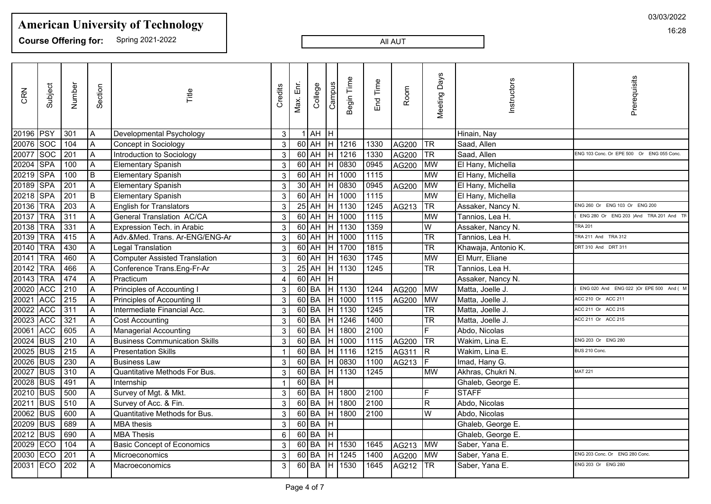**Course Offering for:** Spring 2021-2022

All AUT

| CRN       | Subject    | Number                         | Section                   | Title                                | Credits | 밑<br>Max. | College | Campus | Begin Time | End Time          | Room     | <b>Days</b><br>Meeting | Instructors         | Prerequisits                              |
|-----------|------------|--------------------------------|---------------------------|--------------------------------------|---------|-----------|---------|--------|------------|-------------------|----------|------------------------|---------------------|-------------------------------------------|
| 20196     | <b>PSY</b> | 301                            | $\overline{A}$            | Developmental Psychology             | 3       |           | $1$ AH  | Iн     |            |                   |          |                        | Hinain, Nay         |                                           |
| 20076     | <b>Soc</b> | 104                            | $\overline{A}$            | Concept in Sociology                 | 3       |           | $60$ AH |        | $H$ 1216   | 1330              | AG200    | TR                     | Saad, Allen         |                                           |
| 20077     | soc        | 201                            | $\overline{A}$            | Introduction to Sociology            | 3       |           | $60$ AH | Iн.    | 1216       | 1330              | AG200    | <b>TR</b>              | Saad, Allen         | ENG 103 Conc. Or EPE 500 Or ENG 055 Conc. |
| 20204     | <b>SPA</b> | 100                            | $\overline{A}$            | Elementary Spanish                   | 3       |           | $60$ AH | IH.    | 0830       | 0945              | AG200    | <b>MW</b>              | El Hany, Michella   |                                           |
| 20219     | <b>SPA</b> | 100                            | $\overline{B}$            | Elementary Spanish                   | 3       |           | $60$ AH | IĤ.    | 1000       | 1115              |          | <b>MW</b>              | El Hany, Michella   |                                           |
| 20189     | <b>SPA</b> | 201                            | $\overline{A}$            | Elementary Spanish                   | 3       |           | $30$ AH |        | H 0830     | 0945              | AG200    | MW                     | El Hany, Michella   |                                           |
| 20218     | <b>SPA</b> | 201                            | $\overline{B}$            | Elementary Spanish                   | 3       |           | $60$ AH | lн     | 1000       | 1115              |          | <b>MW</b>              | El Hany, Michella   |                                           |
| 20136     | <b>TRA</b> | $\overline{203}$               | $\boldsymbol{\mathsf{A}}$ | <b>English for Translators</b>       | 3       |           | $25$ AH | lн     | 1130       | 1245              | AG213    | <b>TR</b>              | Assaker, Nancy N.   | ENG 260 Or ENG 103 Or ENG 200             |
| 20137     | <b>TRA</b> | 311                            | A                         | <b>General Translation AC/CA</b>     | 3       |           | $60$ AH | lн     | 1000       | 1115              |          | <b>MW</b>              | Tannios, Lea H.     | ENG 280 Or ENG 203 )And TRA 201 And       |
| 20138     | <b>TRA</b> | 331                            | $\overline{A}$            | Expression Tech. in Arabic           | 3       |           | $60$ AH |        | H 1130     | 1359              |          | $\overline{W}$         | Assaker, Nancy N.   | <b>TRA 201</b>                            |
| 20139     | <b>TRA</b> | 415                            | A                         | Adv.&Med. Trans. Ar-ENG/ENG-Ar       | 3       |           | $60$ AH | IH.    | 1000       | 1115              |          | $\overline{\text{TR}}$ | Tannios, Lea H.     | TRA 211 And TRA 312                       |
| 20140     | <b>TRA</b> | 430                            | $\overline{A}$            | Legal Translation                    | 3       |           | $60$ AH |        | H 1700     | 1815              |          | $\overline{\text{TR}}$ | Khawaja, Antonio K. | DRT 310 And DRT 311                       |
| 20141     | <b>TRA</b> | 460                            | $\overline{A}$            | <b>Computer Assisted Translation</b> | 3       |           | $60$ AH | IH.    | 1630       | 1745              |          | <b>MW</b>              | El Murr, Eliane     |                                           |
| 20142     | <b>TRA</b> | 466                            | A                         | Conference Trans.Eng-Fr-Ar           | 3       |           | $25$ AH |        | H 1130     | 1245              |          | <b>TR</b>              | Tannios, Lea H.     |                                           |
| 20143     | <b>TRA</b> | 474                            | A                         | Practicum                            | 4       |           | $60$ AH | lн     |            |                   |          |                        | Assaker, Nancy N.   |                                           |
| 20020     | <b>ACC</b> | $\sqrt{210}$                   | $\overline{A}$            | Principles of Accounting I           | 3       |           | $60$ BA |        | H 1130     | 1244              | AG200    | <b>MW</b>              | Matta, Joelle J.    | ENG 020 And ENG 022 )Or EPE 500 And ( N   |
| 20021     | <b>ACC</b> | $\overline{215}$               | A                         | Principles of Accounting II          | 3       |           | $60$ BA | IH.    | 1000       | 1115              | AG200    | <b>MW</b>              | Matta, Joelle J.    | ACC 210 Or ACC 211                        |
| 20022     | ACC        | $\begin{array}{c} \end{array}$ | $\overline{A}$            | Intermediate Financial Acc.          | 3       |           | $60$ BA |        | H 1130     | 1245              |          | <b>TR</b>              | Matta, Joelle J.    | ACC 211 Or ACC 215                        |
| 20023     | <b>ACC</b> | 321                            | $\overline{A}$            | <b>Cost Accounting</b>               | 3       |           | $60$ BA | IH.    | 1246       | 1400              |          | $\overline{\text{TR}}$ | Matta, Joelle J.    | ACC 211 Or ACC 215                        |
| 20061     | <b>ACC</b> | 605                            | A                         | Managerial Accounting                | 3       |           | $60$ BA | lн     | 1800       | 2100              |          | F.                     | Abdo, Nicolas       |                                           |
| 20024     | <b>BUS</b> | 210                            | $\overline{A}$            | <b>Business Communication Skills</b> | 3       | $60$ BA   |         | H      | 1000       | 1115              | AG200    | TR                     | Wakim, Lina E.      | ENG 203 Or ENG 280                        |
| 20025     | <b>BUS</b> | $\sqrt{215}$                   | A                         | <b>Presentation Skills</b>           | 1       |           | $60$ BA | Iн     | 1116       | $\overline{1215}$ | AG311    | $\overline{R}$         | Wakim, Lina E.      | BUS 210 Conc.                             |
| 20026     | <b>BUS</b> | 230                            | A                         | <b>Business Law</b>                  | 3       | $60$ BA   |         | Iн     | 0830       | 1100              | AG213    |                        | Imad, Hany G.       |                                           |
| 20027     | <b>BUS</b> | 310                            | A                         | Quantitative Methods For Bus.        | 3       |           | $60$ BA |        | H 1130     | 1245              |          | <b>MW</b>              | Akhras, Chukri N.   | <b>MAT 221</b>                            |
| 20028     | <b>BUS</b> | 491                            | A                         | Internship                           |         |           | $60$ BA | Iн     |            |                   |          |                        | Ghaleb, George E.   |                                           |
| 20210 BUS |            | 500                            | $\overline{A}$            | Survey of Mgt. & Mkt.                | 3       |           | $60$ BA | IH.    | 1800       | 2100              |          | E.                     | <b>STAFF</b>        |                                           |
| 20211     | <b>BUS</b> | $\sqrt{510}$                   | A                         | Survey of Acc. & Fin.                | 3       |           | $60$ BA | lн     | 1800       | 2100              |          | R                      | Abdo, Nicolas       |                                           |
| 20062     | <b>BUS</b> | 600                            | $\overline{\mathsf{A}}$   | Quantitative Methods for Bus.        | 3       |           | $60$ BA | lн     | 1800       | 2100              |          | W                      | Abdo, Nicolas       |                                           |
| 20209     | <b>BUS</b> | 689                            | $\overline{A}$            | MBA thesis                           | 3       |           | $60$ BA | Iн     |            |                   |          |                        | Ghaleb, George E.   |                                           |
| 20212 BUS |            | $\sqrt{690}$                   | A                         | MBA Thesis                           | 6       |           | $60$ BA | IH.    |            |                   |          |                        | Ghaleb, George E.   |                                           |
| 20029     | <b>ECO</b> | 104                            | $\overline{A}$            | <b>Basic Concept of Economics</b>    | 3       |           | $60$ BA | Iн.    | 1530       | 1645              | AG213 MW |                        | Saber, Yana E.      |                                           |
| 20030     | <b>ECO</b> | 201                            | $\overline{A}$            | Microeconomics                       | 3       |           | $60$ BA | IH.    | 1245       | 1400              | AG200    | <b>MW</b>              | Saber, Yana E.      | ENG 203 Conc. Or ENG 280 Conc.            |
| 20031 ECO |            | $\overline{202}$               | A                         | Macroeconomics                       | 3       |           | $60$ BA | ĪН     | 1530       | 1645              | AG212    | $\overline{\text{TR}}$ | Saber, Yana E.      | ENG 203 Or ENG 280                        |
|           |            |                                |                           |                                      |         |           |         |        |            |                   |          |                        |                     |                                           |

03/03/2022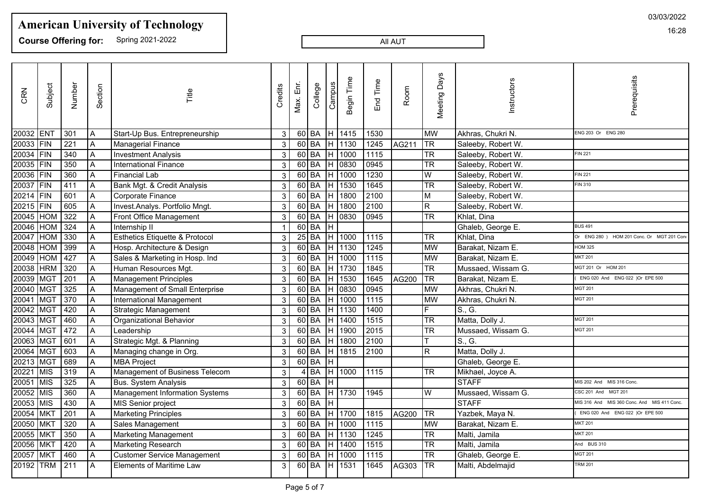**Course Offering for:** Spring 2021-2022

#### All AUT

| CRN       | Subject     | Number           | Section        | Title                                     | Credits      | Max. Enr.                    | College | Campus | Begin Time | End Time          | Room  | <b>Meeting Days</b>    | Instructors        | Prerequisits                                |
|-----------|-------------|------------------|----------------|-------------------------------------------|--------------|------------------------------|---------|--------|------------|-------------------|-------|------------------------|--------------------|---------------------------------------------|
| 20032 ENT |             | 301              | $\overline{A}$ | Start-Up Bus. Entrepreneurship            | 3            | $60$ BA                      |         | H      | 1415       | 1530              |       | <b>MW</b>              | Akhras, Chukri N.  | ENG 203 Or ENG 280                          |
| 20033     | FIN         | 221              | Α              | Managerial Finance                        | 3            | $60$ BA                      |         | H      | 1130       | 1245              | AG211 | <b>TR</b>              | Saleeby, Robert W. |                                             |
| 20034 FIN |             | 340              | Α              | <b>Investment Analysis</b>                | 3            | $60$ BA                      |         |        | 1000       | 1115              |       | <b>TR</b>              | Saleeby, Robert W. | <b>FIN 221</b>                              |
| 20035     | IFIN        | 350              | Α              | <b>International Finance</b>              | 3            | $60$ BA                      |         | Н      | 0830       | 0945              |       | <b>TR</b>              | Saleeby, Robert W. |                                             |
| 20036     | IFIN        | 360              | A              | <b>Financial Lab</b>                      | 3            | $60$ BA                      |         | Η      | 1000       | 1230              |       | W                      | Saleeby, Robert W. | <b>FIN 221</b>                              |
| 20037     | IFIN        | 411              | Α              | Bank Mgt. & Credit Analysis               | 3            | $60$ BA                      |         |        | 1530       | 1645              |       | $\overline{\text{TR}}$ | Saleeby, Robert W. | FIN 310                                     |
| 20214 FIN |             | 601              | A              | Corporate Finance                         | 3            | $60$ BA                      |         | H      | 1800       | 2100              |       | M                      | Saleeby, Robert W. |                                             |
| 20215     | FIN         | 605              | Α              | Invest.Analys. Portfolio Mngt.            | $\mathbf{3}$ | $60$ BA                      |         | H      | 1800       | 2100              |       | R                      | Saleeby, Robert W. |                                             |
| 20045     | <b>HOM</b>  | 322              | Α              | Front Office Management                   | 3            | $60$ BA                      |         | H      | 0830       | 0945              |       | $\overline{\text{TR}}$ | Khlat, Dina        |                                             |
| 20046     | <b>HOM</b>  | 324              | Α              | Internship II                             |              | $60$ BA                      |         | H      |            |                   |       |                        | Ghaleb, George E.  | <b>BUS 491</b>                              |
| 20047     | <b>HOM</b>  | 330              | A              | <b>Esthetics Etiquette &amp; Protocol</b> | 3            | $25\overline{\overline{BA}}$ |         | H      | 1000       | 1115              |       | TR                     | Khlat, Dina        | Or ENG 280 ) HOM 201 Conc. Or MGT 201 Cor   |
| 20048     | <b>HOM</b>  | 399              | $\overline{A}$ | Hosp. Architecture & Design               | 3            | $60$ BA                      |         | н      | 1130       | 1245              |       | <b>MW</b>              | Barakat, Nizam E.  | <b>HOM 325</b>                              |
| 20049     | HOM         | 427              | Α              | Sales & Marketing in Hosp. Ind            | 3            | $60$ BA                      |         |        | 1000       | 1115              |       | lMW                    | Barakat, Nizam E.  | <b>MKT 201</b>                              |
| 20038     | <b>HRM</b>  | 320              | A              | Human Resources Mgt.                      | 3            | $60$ BA                      |         | H      | 1730       | 1845              |       | $\overline{\text{TR}}$ | Mussaed, Wissam G. | MGT 201 Or HOM 201                          |
| 20039     | IMGT        | $\overline{201}$ | A              | <b>Management Principles</b>              | 3            | $60$ BA                      |         | H      | 1530       | 1645              | AG200 | <b>TR</b>              | Barakat, Nizam E.  | ENG 020 And ENG 022 )Or EPE 500             |
| 20040     | MGT         | 325              | A              | Management of Small Enterprise            | 3            | $60$ BA                      |         |        | 0830       | 0945              |       | <b>MW</b>              | Akhras, Chukri N.  | <b>MGT 201</b>                              |
| 20041     | <b>IMGT</b> | 370              | A              | International Management                  | 3            | $60$ BA                      |         |        | 1000       | 1115              |       | MW                     | Akhras, Chukri N.  | <b>MGT 201</b>                              |
| 20042     | MGT         | 420              | A              | <b>Strategic Management</b>               | $\mathbf{3}$ | $60$ BA                      |         | н      | 1130       | 1400              |       | F                      | S., G.             |                                             |
| 20043     | MGT         | 460              | A              | Organizational Behavior                   | 3            | $60$ BA                      |         | Η      | 1400       | $\frac{1515}{2}$  |       | <b>TR</b>              | Matta, Dolly J.    | <b>MGT 201</b>                              |
| 20044 MGT |             | 472              | Α              | Leadership                                | 3            | 60 BA                        |         | H      | 1900       | 2015              |       | <b>TR</b>              | Mussaed, Wissam G. | <b>MGT 201</b>                              |
| 20063     | MGT         | 601              | Α              | Strategic Mgt. & Planning                 | 3            | $60$ BA                      |         | H      | 1800       | 2100              |       |                        | S., G.             |                                             |
| 20064     | MGT         | 603              | Α              | Managing change in Org.                   | 3            | $60$ BA                      |         | Η      | 1815       | 2100              |       | $\mathsf R$            | Matta, Dolly J.    |                                             |
| 20213     | MGT         | 689              | A              | <b>MBA Project</b>                        | $\mathbf{3}$ | $60$ BA                      |         |        |            |                   |       |                        | Ghaleb, George E.  |                                             |
| 20221     | <b>MIS</b>  | 319              | Α              | Management of Business Telecom            | $\mathbf{3}$ |                              | 4 BA    | H      | 1000       | 1115              |       | <b>TR</b>              | Mikhael, Joyce A.  |                                             |
| 20051     | IMIS        | 325              | Α              | <b>Bus. System Analysis</b>               | 3            | $60$ BA                      |         | н      |            |                   |       |                        | <b>STAFF</b>       | MIS 202 And MIS 316 Conc.                   |
| 20052     | MIS]        | 360              | Α              | Management Information Systems            | 3            | $60$ BA                      |         | Η      | 1730       | 1945              |       | W                      | Mussaed, Wissam G. | CSC 201 And<br><b>MGT 201</b>               |
| 20053     | MIS         | 430              | Α              | MIS Senior project                        | 3            | $60$ BA                      |         | H      |            |                   |       |                        | <b>STAFF</b>       | MIS 316 And MIS 360 Conc. And MIS 411 Conc. |
| 20054     | MKT         | $\overline{201}$ | A              | <b>Marketing Principles</b>               | 3            | $60$ BA                      |         | H      | 1700       | 1815              | AG200 | <b>TR</b>              | Yazbek, Maya N.    | ENG 020 And ENG 022 )Or EPE 500             |
| 20050     | <b>MKT</b>  | 320              | A              | Sales Management                          | 3            | $60$ BA                      |         | н      | 1000       | 1115              |       | <b>MW</b>              | Barakat, Nizam E.  | <b>MKT 201</b>                              |
| 20055     | MKT         | 350              | Α              | <b>Marketing Management</b>               | 3            | $60$ BA                      |         | H      | 1130       | 1245              |       | <b>TR</b>              | Malti, Jamila      | <b>MKT 201</b>                              |
| 20056     | MKT         | 420              | Α              | Marketing Research                        | 3            | $60$ BA                      |         | H      | 1400       | 1515              |       | $\overline{\text{TR}}$ | Malti, Jamila      | And BUS 310                                 |
| 20057     | <b>MKT</b>  | 460              | Α              | <b>Customer Service Management</b>        | 3            | $60$ BA                      |         | Η      | 1000       | $\overline{1115}$ |       | $\overline{\text{TR}}$ | Ghaleb, George E.  | <b>MGT 201</b>                              |
| 20192 TRM |             | $\overline{211}$ | $\overline{A}$ | <b>Elements of Maritime Law</b>           | 3            | $60$ BA                      |         | lн     | 1531       | 1645              | AG303 | <b>TR</b>              | Malti, Abdelmajid  | <b>TRM 201</b>                              |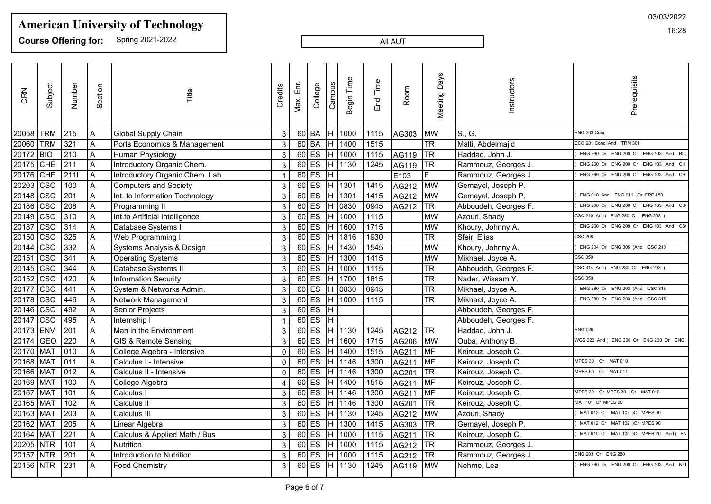**Course Offering for:** Spring 2021-2022

#### All AUT

| Meeting Days<br>Prerequisits<br>Begin Time<br>Instructors<br>End Time<br>Campus<br>Number<br>Ε'n<br>Subject<br>Credits<br>College<br>Section<br>Room<br>CRN<br>Title<br>Max.<br><b>TRM</b><br>20058<br>215<br>$60$ BA<br>1000<br>1115<br><b>MW</b><br>S., G.<br>ENG 203 Conc.<br>IH.<br>AG303<br>A<br>Global Supply Chain<br>3<br><b>TRM</b><br>321<br>$\overline{A}$<br>$60$ BA<br>1400<br>1515<br><b>TR</b><br>Malti, Abdelmajid<br>20060<br>IH.<br>Ports Economics & Management<br>$\mathbf{3}$<br>ECO 201 Conc. And TRM 301<br>$\overline{BD}$<br>$\overline{A}$<br>$60$ ES<br>1000<br>$\overline{\text{ITR}}$<br>20172<br>210<br>Iн<br>AG119<br>3<br>1115<br>Human Physiology<br>Haddad, John J.<br>20175 CHE<br>211<br>$60$ ES<br>$\overline{A}$<br>Introductory Organic Chem.<br>H 1130<br>1245<br>AG119<br> TR<br>$\mathbf{3}$<br>Rammouz, Georges J.<br>$60$ ES<br>20176 CHE<br>211L<br>E <sub>103</sub><br>IF.<br>A<br>IH.<br>ENG 260 Or ENG 200 Or ENG 103 )And<br>Introductory Organic Chem. Lab<br>Rammouz, Georges J.<br>$\overline{\csc}$<br>$60$ ES<br>100<br>$\overline{H}$ 1301<br>$\boxed{1415}$<br>AG212<br>$\sqrt{\text{MW}}$<br>20203<br>$\overline{A}$<br>Gemayel, Joseph P.<br><b>Computers and Society</b><br>$\mathbf{3}$<br> csc<br>$60$ ES<br>201<br>$\overline{A}$<br>H 1301<br>1415<br>AG212<br>Int. to Information Technology<br>$\mathbf{3}$<br><b>MW</b><br>Gemayel, Joseph P.<br>ENG 010 And ENG 011 )Or EPE 450<br>$\overline{\csc}$<br>$60$ ES<br>208<br>$\overline{A}$<br>H 0830<br>0945<br><b>TR</b><br>$\mathfrak{S}$<br>AG212<br>Abboudeh, Georges F.<br>Programming II<br>$\overline{\csc}$<br>$60$ ES<br>310<br>$\overline{A}$<br>1000<br>Int.to Artificial Intelligence<br>H.<br>1115<br>MW<br>Azouri, Shady<br>$\mathbf{3}$<br>CSC 210 And ( ENG 280 Or ENG 203<br>$\overline{\csc}$<br>$60$ ES<br>1600<br>1715<br>314<br>A<br>Iн.<br>MW<br>$\mathbf{3}$<br>Khoury, Johnny A.<br>ENG 260 Or ENG 200 Or ENG 103 )And<br>Database Systems I<br>$\overline{\csc}$<br>$60$ ES<br><b>TR</b><br>325<br>$\overline{A}$<br>1816<br>1930<br>Web Programming I<br>$\mathbf{3}$<br>IH.<br>Sfeir, Elias<br><b>CSC 208</b><br>$\overline{\csc}$<br>332<br>$60$ ES<br>1430<br>1545<br>$\overline{A}$<br>Systems Analysis & Design<br>H.<br><b>MW</b><br>Khoury, Johnny A.<br>$\sqrt{3}$<br>ENG 204 Or ENG 305 )And CSC 210<br>$\overline{\csc}$<br>$60$ ES<br>341<br>H 1300<br>$\overline{A}$<br>1415<br>MW<br>$\mathbf{3}$<br>Mikhael, Joyce A.<br>CSC 350<br><b>Operating Systems</b><br>CSC<br>344<br>$60$ ES<br>1000<br>TR <sup>1</sup><br>$\overline{A}$<br>1115<br>Abboudeh, Georges F.<br>Database Systems II<br>$\mathbf{3}$<br>IH.<br>CSC 314 And (ENG 280 Or ENG 203)<br>$\overline{\csc}$<br>$60$ ES<br>420<br>$\overline{A}$<br>1700<br>1815<br><b>TR</b><br>Nader, Wissam Y.<br>Information Security<br>IH.<br>3<br>CSC 350<br>$\overline{\csc}$<br>ES <sup></sup><br><b>TR</b><br>$\overline{A}$<br>60<br>0830<br>441<br>Iн.<br>0945<br>ENG 280 Or ENG 203 )And CSC 315<br>System & Networks Admin.<br>$\mathbf{3}$<br>Mikhael, Joyce A.<br>$\overline{\csc}$<br>$60$ ES<br><b>TR</b><br>446<br>1000<br>A<br>IH.<br>1115<br>Network Management<br>3<br>Mikhael, Joyce A.<br>ENG 280 Or ENG 203 )And CSC 315<br>$\overline{\csc}$<br>492<br>$60$ ES<br>$\overline{\mathbb{H}}$<br>A<br>$\mathbf{3}$<br>Abboudeh, Georges F.<br>Senior Projects<br>$\overline{\csc}$<br>$60$ ES<br>ΤΗ<br>495<br>$\overline{A}$<br>Abboudeh, Georges F.<br>Internship I<br><b>ENV</b><br>$60$ ES<br>$\overline{H}$ 1130<br>1245<br>201<br>AG212<br><b>TR</b><br>Man in the Environment<br>$\mathbf{3}$<br>Haddad, John J.<br><b>ENG 020</b><br>A<br><b>GEO</b><br>$\overline{220}$<br>$60$ ES<br>1600<br>1715<br>$\overline{A}$<br>GIS & Remote Sensing<br>$\mathbf{3}$<br>IH.<br>AG206<br><b>MW</b><br>Ouba, Anthony B.<br><b>MAT</b><br>$60$ ES<br>010<br>$\overline{A}$<br>H.<br>1400<br>1515<br>AG211<br>MF<br>College Algebra - Intensive<br>Keirouz, Joseph C.<br>$\Omega$<br><b>MAT</b><br>$60$ ES<br>H 1146<br>MF<br>011<br>$\overline{A}$<br>1300<br>AG211<br>Calculus I - Intensive<br>Keirouz, Joseph C.<br>MPES 30 Or MAT 010<br>$\mathbf{0}$<br>$60$ ES<br>20166 MAT<br>012<br>$\overline{A}$<br>H 1146<br>AG201<br><b>TR</b><br>1300<br>Calculus II - Intensive<br>Keirouz, Joseph C.<br>$\mathbf 0$<br>MPES 60 Or MAT 011<br>$60$ ES<br><b>MAT</b><br>100<br>H 1400<br>$\overline{1515}$<br>AG211<br>MF<br>$\overline{A}$<br>Keirouz, Joseph C.<br>College Algebra<br>4<br>$60$ ES<br>MAT<br>H 1146<br>101<br>$\overline{A}$<br>AG211<br>MF<br>MPEB 30 Or MPES 30 Or MAT 010<br>Calculus I<br>$\mathbf{3}$<br>1300<br>Keirouz, Joseph C.<br><b>MAT</b><br>102<br>$60$ ES<br>AG201<br>$ \overline{\text{TR}} $<br>$\overline{A}$<br>H 1146<br>1300<br>Calculus II<br>$\mathbf{3}$<br>Keirouz, Joseph C.<br>MAT 101 Or MPES 60<br><b>MAT</b><br>$60$ ES<br>$\overline{203}$<br>$\overline{A}$<br>$H$ 1130<br>1245<br>AG212<br><b>MW</b><br>Azouri, Shady<br>Calculus III<br>MAT 012 Or MAT 102 )Or MPES 90<br>3<br><b>MAT</b><br>205<br>$60$ ES<br>1300<br>A<br>H<br>1415<br>AG303<br>TR<br>Gemayel, Joseph P.<br>MAT 012 Or MAT 102 )Or MPES 90<br>Linear Algebra<br>3<br><b>MAT</b><br>$\overline{221}$<br>$60$ ES<br>1000<br> TR<br>IH.<br>1115<br>AG211<br>Keirouz, Joseph C.<br>l A<br>Calculus & Applied Math / Bus<br>3<br><b>NTR</b><br>$60$ ES<br>H 1000<br>$\frac{1115}{2}$<br>$\sqrt{TR}$<br>101<br>$\overline{A}$<br>AG212<br>Nutrition<br>$\mathbf{3}$<br>Rammouz, Georges J.<br>$60$ ES<br><b>NTR</b><br>$\overline{A}$<br>H 1000<br>1115<br>AG212<br><b>TR</b><br>201<br>Introduction to Nutrition<br>$\mathbf{3}$<br>ENG 203 Or ENG 280<br>Rammouz, Georges J.<br>$60$ ES<br>20156 NTR<br>$\overline{231}$<br>H 1130<br>1245<br>$\overline{A}$<br>3<br>AG119 MW<br><b>Food Chemistry</b><br>Nehme, Lea |       |  |  |  |  |  |  |                                        |
|--------------------------------------------------------------------------------------------------------------------------------------------------------------------------------------------------------------------------------------------------------------------------------------------------------------------------------------------------------------------------------------------------------------------------------------------------------------------------------------------------------------------------------------------------------------------------------------------------------------------------------------------------------------------------------------------------------------------------------------------------------------------------------------------------------------------------------------------------------------------------------------------------------------------------------------------------------------------------------------------------------------------------------------------------------------------------------------------------------------------------------------------------------------------------------------------------------------------------------------------------------------------------------------------------------------------------------------------------------------------------------------------------------------------------------------------------------------------------------------------------------------------------------------------------------------------------------------------------------------------------------------------------------------------------------------------------------------------------------------------------------------------------------------------------------------------------------------------------------------------------------------------------------------------------------------------------------------------------------------------------------------------------------------------------------------------------------------------------------------------------------------------------------------------------------------------------------------------------------------------------------------------------------------------------------------------------------------------------------------------------------------------------------------------------------------------------------------------------------------------------------------------------------------------------------------------------------------------------------------------------------------------------------------------------------------------------------------------------------------------------------------------------------------------------------------------------------------------------------------------------------------------------------------------------------------------------------------------------------------------------------------------------------------------------------------------------------------------------------------------------------------------------------------------------------------------------------------------------------------------------------------------------------------------------------------------------------------------------------------------------------------------------------------------------------------------------------------------------------------------------------------------------------------------------------------------------------------------------------------------------------------------------------------------------------------------------------------------------------------------------------------------------------------------------------------------------------------------------------------------------------------------------------------------------------------------------------------------------------------------------------------------------------------------------------------------------------------------------------------------------------------------------------------------------------------------------------------------------------------------------------------------------------------------------------------------------------------------------------------------------------------------------------------------------------------------------------------------------------------------------------------------------------------------------------------------------------------------------------------------------------------------------------------------------------------------------------------------------------------------------------------------------------------------------------------------------------------------------------------------------------------------------------------------------------------------------------------------------------------------------------------------------------------------------------------------------------------------------------------------------------------------------------------------------------------------------------------------------------------------------------------------------------------------------------------------------------------------------------------------------------------------------------------------------------------------------------------------------------------------------------------------------------------------------------------------------------------------------------------------------------------------------------------------------------------------------------------------------------------------------------------------------------------------------------------------------------------------------------------|-------|--|--|--|--|--|--|----------------------------------------|
|                                                                                                                                                                                                                                                                                                                                                                                                                                                                                                                                                                                                                                                                                                                                                                                                                                                                                                                                                                                                                                                                                                                                                                                                                                                                                                                                                                                                                                                                                                                                                                                                                                                                                                                                                                                                                                                                                                                                                                                                                                                                                                                                                                                                                                                                                                                                                                                                                                                                                                                                                                                                                                                                                                                                                                                                                                                                                                                                                                                                                                                                                                                                                                                                                                                                                                                                                                                                                                                                                                                                                                                                                                                                                                                                                                                                                                                                                                                                                                                                                                                                                                                                                                                                                                                                                                                                                                                                                                                                                                                                                                                                                                                                                                                                                                                                                                                                                                                                                                                                                                                                                                                                                                                                                                                                                                                                                                                                                                                                                                                                                                                                                                                                                                                                                                                                                                                              |       |  |  |  |  |  |  |                                        |
|                                                                                                                                                                                                                                                                                                                                                                                                                                                                                                                                                                                                                                                                                                                                                                                                                                                                                                                                                                                                                                                                                                                                                                                                                                                                                                                                                                                                                                                                                                                                                                                                                                                                                                                                                                                                                                                                                                                                                                                                                                                                                                                                                                                                                                                                                                                                                                                                                                                                                                                                                                                                                                                                                                                                                                                                                                                                                                                                                                                                                                                                                                                                                                                                                                                                                                                                                                                                                                                                                                                                                                                                                                                                                                                                                                                                                                                                                                                                                                                                                                                                                                                                                                                                                                                                                                                                                                                                                                                                                                                                                                                                                                                                                                                                                                                                                                                                                                                                                                                                                                                                                                                                                                                                                                                                                                                                                                                                                                                                                                                                                                                                                                                                                                                                                                                                                                                              |       |  |  |  |  |  |  |                                        |
|                                                                                                                                                                                                                                                                                                                                                                                                                                                                                                                                                                                                                                                                                                                                                                                                                                                                                                                                                                                                                                                                                                                                                                                                                                                                                                                                                                                                                                                                                                                                                                                                                                                                                                                                                                                                                                                                                                                                                                                                                                                                                                                                                                                                                                                                                                                                                                                                                                                                                                                                                                                                                                                                                                                                                                                                                                                                                                                                                                                                                                                                                                                                                                                                                                                                                                                                                                                                                                                                                                                                                                                                                                                                                                                                                                                                                                                                                                                                                                                                                                                                                                                                                                                                                                                                                                                                                                                                                                                                                                                                                                                                                                                                                                                                                                                                                                                                                                                                                                                                                                                                                                                                                                                                                                                                                                                                                                                                                                                                                                                                                                                                                                                                                                                                                                                                                                                              |       |  |  |  |  |  |  |                                        |
|                                                                                                                                                                                                                                                                                                                                                                                                                                                                                                                                                                                                                                                                                                                                                                                                                                                                                                                                                                                                                                                                                                                                                                                                                                                                                                                                                                                                                                                                                                                                                                                                                                                                                                                                                                                                                                                                                                                                                                                                                                                                                                                                                                                                                                                                                                                                                                                                                                                                                                                                                                                                                                                                                                                                                                                                                                                                                                                                                                                                                                                                                                                                                                                                                                                                                                                                                                                                                                                                                                                                                                                                                                                                                                                                                                                                                                                                                                                                                                                                                                                                                                                                                                                                                                                                                                                                                                                                                                                                                                                                                                                                                                                                                                                                                                                                                                                                                                                                                                                                                                                                                                                                                                                                                                                                                                                                                                                                                                                                                                                                                                                                                                                                                                                                                                                                                                                              |       |  |  |  |  |  |  | ENG 260 Or ENG 200 Or ENG 103 )And BIO |
|                                                                                                                                                                                                                                                                                                                                                                                                                                                                                                                                                                                                                                                                                                                                                                                                                                                                                                                                                                                                                                                                                                                                                                                                                                                                                                                                                                                                                                                                                                                                                                                                                                                                                                                                                                                                                                                                                                                                                                                                                                                                                                                                                                                                                                                                                                                                                                                                                                                                                                                                                                                                                                                                                                                                                                                                                                                                                                                                                                                                                                                                                                                                                                                                                                                                                                                                                                                                                                                                                                                                                                                                                                                                                                                                                                                                                                                                                                                                                                                                                                                                                                                                                                                                                                                                                                                                                                                                                                                                                                                                                                                                                                                                                                                                                                                                                                                                                                                                                                                                                                                                                                                                                                                                                                                                                                                                                                                                                                                                                                                                                                                                                                                                                                                                                                                                                                                              |       |  |  |  |  |  |  | ENG 260 Or ENG 200 Or ENG 103 )And CH  |
|                                                                                                                                                                                                                                                                                                                                                                                                                                                                                                                                                                                                                                                                                                                                                                                                                                                                                                                                                                                                                                                                                                                                                                                                                                                                                                                                                                                                                                                                                                                                                                                                                                                                                                                                                                                                                                                                                                                                                                                                                                                                                                                                                                                                                                                                                                                                                                                                                                                                                                                                                                                                                                                                                                                                                                                                                                                                                                                                                                                                                                                                                                                                                                                                                                                                                                                                                                                                                                                                                                                                                                                                                                                                                                                                                                                                                                                                                                                                                                                                                                                                                                                                                                                                                                                                                                                                                                                                                                                                                                                                                                                                                                                                                                                                                                                                                                                                                                                                                                                                                                                                                                                                                                                                                                                                                                                                                                                                                                                                                                                                                                                                                                                                                                                                                                                                                                                              |       |  |  |  |  |  |  |                                        |
|                                                                                                                                                                                                                                                                                                                                                                                                                                                                                                                                                                                                                                                                                                                                                                                                                                                                                                                                                                                                                                                                                                                                                                                                                                                                                                                                                                                                                                                                                                                                                                                                                                                                                                                                                                                                                                                                                                                                                                                                                                                                                                                                                                                                                                                                                                                                                                                                                                                                                                                                                                                                                                                                                                                                                                                                                                                                                                                                                                                                                                                                                                                                                                                                                                                                                                                                                                                                                                                                                                                                                                                                                                                                                                                                                                                                                                                                                                                                                                                                                                                                                                                                                                                                                                                                                                                                                                                                                                                                                                                                                                                                                                                                                                                                                                                                                                                                                                                                                                                                                                                                                                                                                                                                                                                                                                                                                                                                                                                                                                                                                                                                                                                                                                                                                                                                                                                              |       |  |  |  |  |  |  |                                        |
|                                                                                                                                                                                                                                                                                                                                                                                                                                                                                                                                                                                                                                                                                                                                                                                                                                                                                                                                                                                                                                                                                                                                                                                                                                                                                                                                                                                                                                                                                                                                                                                                                                                                                                                                                                                                                                                                                                                                                                                                                                                                                                                                                                                                                                                                                                                                                                                                                                                                                                                                                                                                                                                                                                                                                                                                                                                                                                                                                                                                                                                                                                                                                                                                                                                                                                                                                                                                                                                                                                                                                                                                                                                                                                                                                                                                                                                                                                                                                                                                                                                                                                                                                                                                                                                                                                                                                                                                                                                                                                                                                                                                                                                                                                                                                                                                                                                                                                                                                                                                                                                                                                                                                                                                                                                                                                                                                                                                                                                                                                                                                                                                                                                                                                                                                                                                                                                              | 20148 |  |  |  |  |  |  |                                        |
|                                                                                                                                                                                                                                                                                                                                                                                                                                                                                                                                                                                                                                                                                                                                                                                                                                                                                                                                                                                                                                                                                                                                                                                                                                                                                                                                                                                                                                                                                                                                                                                                                                                                                                                                                                                                                                                                                                                                                                                                                                                                                                                                                                                                                                                                                                                                                                                                                                                                                                                                                                                                                                                                                                                                                                                                                                                                                                                                                                                                                                                                                                                                                                                                                                                                                                                                                                                                                                                                                                                                                                                                                                                                                                                                                                                                                                                                                                                                                                                                                                                                                                                                                                                                                                                                                                                                                                                                                                                                                                                                                                                                                                                                                                                                                                                                                                                                                                                                                                                                                                                                                                                                                                                                                                                                                                                                                                                                                                                                                                                                                                                                                                                                                                                                                                                                                                                              | 20186 |  |  |  |  |  |  | ENG 260 Or ENG 200 Or ENG 103 )And CS  |
|                                                                                                                                                                                                                                                                                                                                                                                                                                                                                                                                                                                                                                                                                                                                                                                                                                                                                                                                                                                                                                                                                                                                                                                                                                                                                                                                                                                                                                                                                                                                                                                                                                                                                                                                                                                                                                                                                                                                                                                                                                                                                                                                                                                                                                                                                                                                                                                                                                                                                                                                                                                                                                                                                                                                                                                                                                                                                                                                                                                                                                                                                                                                                                                                                                                                                                                                                                                                                                                                                                                                                                                                                                                                                                                                                                                                                                                                                                                                                                                                                                                                                                                                                                                                                                                                                                                                                                                                                                                                                                                                                                                                                                                                                                                                                                                                                                                                                                                                                                                                                                                                                                                                                                                                                                                                                                                                                                                                                                                                                                                                                                                                                                                                                                                                                                                                                                                              | 20149 |  |  |  |  |  |  |                                        |
|                                                                                                                                                                                                                                                                                                                                                                                                                                                                                                                                                                                                                                                                                                                                                                                                                                                                                                                                                                                                                                                                                                                                                                                                                                                                                                                                                                                                                                                                                                                                                                                                                                                                                                                                                                                                                                                                                                                                                                                                                                                                                                                                                                                                                                                                                                                                                                                                                                                                                                                                                                                                                                                                                                                                                                                                                                                                                                                                                                                                                                                                                                                                                                                                                                                                                                                                                                                                                                                                                                                                                                                                                                                                                                                                                                                                                                                                                                                                                                                                                                                                                                                                                                                                                                                                                                                                                                                                                                                                                                                                                                                                                                                                                                                                                                                                                                                                                                                                                                                                                                                                                                                                                                                                                                                                                                                                                                                                                                                                                                                                                                                                                                                                                                                                                                                                                                                              | 20187 |  |  |  |  |  |  |                                        |
|                                                                                                                                                                                                                                                                                                                                                                                                                                                                                                                                                                                                                                                                                                                                                                                                                                                                                                                                                                                                                                                                                                                                                                                                                                                                                                                                                                                                                                                                                                                                                                                                                                                                                                                                                                                                                                                                                                                                                                                                                                                                                                                                                                                                                                                                                                                                                                                                                                                                                                                                                                                                                                                                                                                                                                                                                                                                                                                                                                                                                                                                                                                                                                                                                                                                                                                                                                                                                                                                                                                                                                                                                                                                                                                                                                                                                                                                                                                                                                                                                                                                                                                                                                                                                                                                                                                                                                                                                                                                                                                                                                                                                                                                                                                                                                                                                                                                                                                                                                                                                                                                                                                                                                                                                                                                                                                                                                                                                                                                                                                                                                                                                                                                                                                                                                                                                                                              | 20150 |  |  |  |  |  |  |                                        |
|                                                                                                                                                                                                                                                                                                                                                                                                                                                                                                                                                                                                                                                                                                                                                                                                                                                                                                                                                                                                                                                                                                                                                                                                                                                                                                                                                                                                                                                                                                                                                                                                                                                                                                                                                                                                                                                                                                                                                                                                                                                                                                                                                                                                                                                                                                                                                                                                                                                                                                                                                                                                                                                                                                                                                                                                                                                                                                                                                                                                                                                                                                                                                                                                                                                                                                                                                                                                                                                                                                                                                                                                                                                                                                                                                                                                                                                                                                                                                                                                                                                                                                                                                                                                                                                                                                                                                                                                                                                                                                                                                                                                                                                                                                                                                                                                                                                                                                                                                                                                                                                                                                                                                                                                                                                                                                                                                                                                                                                                                                                                                                                                                                                                                                                                                                                                                                                              | 20144 |  |  |  |  |  |  |                                        |
|                                                                                                                                                                                                                                                                                                                                                                                                                                                                                                                                                                                                                                                                                                                                                                                                                                                                                                                                                                                                                                                                                                                                                                                                                                                                                                                                                                                                                                                                                                                                                                                                                                                                                                                                                                                                                                                                                                                                                                                                                                                                                                                                                                                                                                                                                                                                                                                                                                                                                                                                                                                                                                                                                                                                                                                                                                                                                                                                                                                                                                                                                                                                                                                                                                                                                                                                                                                                                                                                                                                                                                                                                                                                                                                                                                                                                                                                                                                                                                                                                                                                                                                                                                                                                                                                                                                                                                                                                                                                                                                                                                                                                                                                                                                                                                                                                                                                                                                                                                                                                                                                                                                                                                                                                                                                                                                                                                                                                                                                                                                                                                                                                                                                                                                                                                                                                                                              | 20151 |  |  |  |  |  |  |                                        |
|                                                                                                                                                                                                                                                                                                                                                                                                                                                                                                                                                                                                                                                                                                                                                                                                                                                                                                                                                                                                                                                                                                                                                                                                                                                                                                                                                                                                                                                                                                                                                                                                                                                                                                                                                                                                                                                                                                                                                                                                                                                                                                                                                                                                                                                                                                                                                                                                                                                                                                                                                                                                                                                                                                                                                                                                                                                                                                                                                                                                                                                                                                                                                                                                                                                                                                                                                                                                                                                                                                                                                                                                                                                                                                                                                                                                                                                                                                                                                                                                                                                                                                                                                                                                                                                                                                                                                                                                                                                                                                                                                                                                                                                                                                                                                                                                                                                                                                                                                                                                                                                                                                                                                                                                                                                                                                                                                                                                                                                                                                                                                                                                                                                                                                                                                                                                                                                              | 20145 |  |  |  |  |  |  |                                        |
|                                                                                                                                                                                                                                                                                                                                                                                                                                                                                                                                                                                                                                                                                                                                                                                                                                                                                                                                                                                                                                                                                                                                                                                                                                                                                                                                                                                                                                                                                                                                                                                                                                                                                                                                                                                                                                                                                                                                                                                                                                                                                                                                                                                                                                                                                                                                                                                                                                                                                                                                                                                                                                                                                                                                                                                                                                                                                                                                                                                                                                                                                                                                                                                                                                                                                                                                                                                                                                                                                                                                                                                                                                                                                                                                                                                                                                                                                                                                                                                                                                                                                                                                                                                                                                                                                                                                                                                                                                                                                                                                                                                                                                                                                                                                                                                                                                                                                                                                                                                                                                                                                                                                                                                                                                                                                                                                                                                                                                                                                                                                                                                                                                                                                                                                                                                                                                                              | 20152 |  |  |  |  |  |  |                                        |
|                                                                                                                                                                                                                                                                                                                                                                                                                                                                                                                                                                                                                                                                                                                                                                                                                                                                                                                                                                                                                                                                                                                                                                                                                                                                                                                                                                                                                                                                                                                                                                                                                                                                                                                                                                                                                                                                                                                                                                                                                                                                                                                                                                                                                                                                                                                                                                                                                                                                                                                                                                                                                                                                                                                                                                                                                                                                                                                                                                                                                                                                                                                                                                                                                                                                                                                                                                                                                                                                                                                                                                                                                                                                                                                                                                                                                                                                                                                                                                                                                                                                                                                                                                                                                                                                                                                                                                                                                                                                                                                                                                                                                                                                                                                                                                                                                                                                                                                                                                                                                                                                                                                                                                                                                                                                                                                                                                                                                                                                                                                                                                                                                                                                                                                                                                                                                                                              | 20177 |  |  |  |  |  |  |                                        |
|                                                                                                                                                                                                                                                                                                                                                                                                                                                                                                                                                                                                                                                                                                                                                                                                                                                                                                                                                                                                                                                                                                                                                                                                                                                                                                                                                                                                                                                                                                                                                                                                                                                                                                                                                                                                                                                                                                                                                                                                                                                                                                                                                                                                                                                                                                                                                                                                                                                                                                                                                                                                                                                                                                                                                                                                                                                                                                                                                                                                                                                                                                                                                                                                                                                                                                                                                                                                                                                                                                                                                                                                                                                                                                                                                                                                                                                                                                                                                                                                                                                                                                                                                                                                                                                                                                                                                                                                                                                                                                                                                                                                                                                                                                                                                                                                                                                                                                                                                                                                                                                                                                                                                                                                                                                                                                                                                                                                                                                                                                                                                                                                                                                                                                                                                                                                                                                              | 20178 |  |  |  |  |  |  |                                        |
|                                                                                                                                                                                                                                                                                                                                                                                                                                                                                                                                                                                                                                                                                                                                                                                                                                                                                                                                                                                                                                                                                                                                                                                                                                                                                                                                                                                                                                                                                                                                                                                                                                                                                                                                                                                                                                                                                                                                                                                                                                                                                                                                                                                                                                                                                                                                                                                                                                                                                                                                                                                                                                                                                                                                                                                                                                                                                                                                                                                                                                                                                                                                                                                                                                                                                                                                                                                                                                                                                                                                                                                                                                                                                                                                                                                                                                                                                                                                                                                                                                                                                                                                                                                                                                                                                                                                                                                                                                                                                                                                                                                                                                                                                                                                                                                                                                                                                                                                                                                                                                                                                                                                                                                                                                                                                                                                                                                                                                                                                                                                                                                                                                                                                                                                                                                                                                                              | 20146 |  |  |  |  |  |  |                                        |
|                                                                                                                                                                                                                                                                                                                                                                                                                                                                                                                                                                                                                                                                                                                                                                                                                                                                                                                                                                                                                                                                                                                                                                                                                                                                                                                                                                                                                                                                                                                                                                                                                                                                                                                                                                                                                                                                                                                                                                                                                                                                                                                                                                                                                                                                                                                                                                                                                                                                                                                                                                                                                                                                                                                                                                                                                                                                                                                                                                                                                                                                                                                                                                                                                                                                                                                                                                                                                                                                                                                                                                                                                                                                                                                                                                                                                                                                                                                                                                                                                                                                                                                                                                                                                                                                                                                                                                                                                                                                                                                                                                                                                                                                                                                                                                                                                                                                                                                                                                                                                                                                                                                                                                                                                                                                                                                                                                                                                                                                                                                                                                                                                                                                                                                                                                                                                                                              | 20147 |  |  |  |  |  |  |                                        |
|                                                                                                                                                                                                                                                                                                                                                                                                                                                                                                                                                                                                                                                                                                                                                                                                                                                                                                                                                                                                                                                                                                                                                                                                                                                                                                                                                                                                                                                                                                                                                                                                                                                                                                                                                                                                                                                                                                                                                                                                                                                                                                                                                                                                                                                                                                                                                                                                                                                                                                                                                                                                                                                                                                                                                                                                                                                                                                                                                                                                                                                                                                                                                                                                                                                                                                                                                                                                                                                                                                                                                                                                                                                                                                                                                                                                                                                                                                                                                                                                                                                                                                                                                                                                                                                                                                                                                                                                                                                                                                                                                                                                                                                                                                                                                                                                                                                                                                                                                                                                                                                                                                                                                                                                                                                                                                                                                                                                                                                                                                                                                                                                                                                                                                                                                                                                                                                              | 20173 |  |  |  |  |  |  |                                        |
|                                                                                                                                                                                                                                                                                                                                                                                                                                                                                                                                                                                                                                                                                                                                                                                                                                                                                                                                                                                                                                                                                                                                                                                                                                                                                                                                                                                                                                                                                                                                                                                                                                                                                                                                                                                                                                                                                                                                                                                                                                                                                                                                                                                                                                                                                                                                                                                                                                                                                                                                                                                                                                                                                                                                                                                                                                                                                                                                                                                                                                                                                                                                                                                                                                                                                                                                                                                                                                                                                                                                                                                                                                                                                                                                                                                                                                                                                                                                                                                                                                                                                                                                                                                                                                                                                                                                                                                                                                                                                                                                                                                                                                                                                                                                                                                                                                                                                                                                                                                                                                                                                                                                                                                                                                                                                                                                                                                                                                                                                                                                                                                                                                                                                                                                                                                                                                                              | 20174 |  |  |  |  |  |  | NGS 220 And (ENG 260 Or ENG 200 Or ENG |
|                                                                                                                                                                                                                                                                                                                                                                                                                                                                                                                                                                                                                                                                                                                                                                                                                                                                                                                                                                                                                                                                                                                                                                                                                                                                                                                                                                                                                                                                                                                                                                                                                                                                                                                                                                                                                                                                                                                                                                                                                                                                                                                                                                                                                                                                                                                                                                                                                                                                                                                                                                                                                                                                                                                                                                                                                                                                                                                                                                                                                                                                                                                                                                                                                                                                                                                                                                                                                                                                                                                                                                                                                                                                                                                                                                                                                                                                                                                                                                                                                                                                                                                                                                                                                                                                                                                                                                                                                                                                                                                                                                                                                                                                                                                                                                                                                                                                                                                                                                                                                                                                                                                                                                                                                                                                                                                                                                                                                                                                                                                                                                                                                                                                                                                                                                                                                                                              | 20170 |  |  |  |  |  |  |                                        |
|                                                                                                                                                                                                                                                                                                                                                                                                                                                                                                                                                                                                                                                                                                                                                                                                                                                                                                                                                                                                                                                                                                                                                                                                                                                                                                                                                                                                                                                                                                                                                                                                                                                                                                                                                                                                                                                                                                                                                                                                                                                                                                                                                                                                                                                                                                                                                                                                                                                                                                                                                                                                                                                                                                                                                                                                                                                                                                                                                                                                                                                                                                                                                                                                                                                                                                                                                                                                                                                                                                                                                                                                                                                                                                                                                                                                                                                                                                                                                                                                                                                                                                                                                                                                                                                                                                                                                                                                                                                                                                                                                                                                                                                                                                                                                                                                                                                                                                                                                                                                                                                                                                                                                                                                                                                                                                                                                                                                                                                                                                                                                                                                                                                                                                                                                                                                                                                              | 20168 |  |  |  |  |  |  |                                        |
|                                                                                                                                                                                                                                                                                                                                                                                                                                                                                                                                                                                                                                                                                                                                                                                                                                                                                                                                                                                                                                                                                                                                                                                                                                                                                                                                                                                                                                                                                                                                                                                                                                                                                                                                                                                                                                                                                                                                                                                                                                                                                                                                                                                                                                                                                                                                                                                                                                                                                                                                                                                                                                                                                                                                                                                                                                                                                                                                                                                                                                                                                                                                                                                                                                                                                                                                                                                                                                                                                                                                                                                                                                                                                                                                                                                                                                                                                                                                                                                                                                                                                                                                                                                                                                                                                                                                                                                                                                                                                                                                                                                                                                                                                                                                                                                                                                                                                                                                                                                                                                                                                                                                                                                                                                                                                                                                                                                                                                                                                                                                                                                                                                                                                                                                                                                                                                                              |       |  |  |  |  |  |  |                                        |
|                                                                                                                                                                                                                                                                                                                                                                                                                                                                                                                                                                                                                                                                                                                                                                                                                                                                                                                                                                                                                                                                                                                                                                                                                                                                                                                                                                                                                                                                                                                                                                                                                                                                                                                                                                                                                                                                                                                                                                                                                                                                                                                                                                                                                                                                                                                                                                                                                                                                                                                                                                                                                                                                                                                                                                                                                                                                                                                                                                                                                                                                                                                                                                                                                                                                                                                                                                                                                                                                                                                                                                                                                                                                                                                                                                                                                                                                                                                                                                                                                                                                                                                                                                                                                                                                                                                                                                                                                                                                                                                                                                                                                                                                                                                                                                                                                                                                                                                                                                                                                                                                                                                                                                                                                                                                                                                                                                                                                                                                                                                                                                                                                                                                                                                                                                                                                                                              | 20169 |  |  |  |  |  |  |                                        |
|                                                                                                                                                                                                                                                                                                                                                                                                                                                                                                                                                                                                                                                                                                                                                                                                                                                                                                                                                                                                                                                                                                                                                                                                                                                                                                                                                                                                                                                                                                                                                                                                                                                                                                                                                                                                                                                                                                                                                                                                                                                                                                                                                                                                                                                                                                                                                                                                                                                                                                                                                                                                                                                                                                                                                                                                                                                                                                                                                                                                                                                                                                                                                                                                                                                                                                                                                                                                                                                                                                                                                                                                                                                                                                                                                                                                                                                                                                                                                                                                                                                                                                                                                                                                                                                                                                                                                                                                                                                                                                                                                                                                                                                                                                                                                                                                                                                                                                                                                                                                                                                                                                                                                                                                                                                                                                                                                                                                                                                                                                                                                                                                                                                                                                                                                                                                                                                              | 20167 |  |  |  |  |  |  |                                        |
|                                                                                                                                                                                                                                                                                                                                                                                                                                                                                                                                                                                                                                                                                                                                                                                                                                                                                                                                                                                                                                                                                                                                                                                                                                                                                                                                                                                                                                                                                                                                                                                                                                                                                                                                                                                                                                                                                                                                                                                                                                                                                                                                                                                                                                                                                                                                                                                                                                                                                                                                                                                                                                                                                                                                                                                                                                                                                                                                                                                                                                                                                                                                                                                                                                                                                                                                                                                                                                                                                                                                                                                                                                                                                                                                                                                                                                                                                                                                                                                                                                                                                                                                                                                                                                                                                                                                                                                                                                                                                                                                                                                                                                                                                                                                                                                                                                                                                                                                                                                                                                                                                                                                                                                                                                                                                                                                                                                                                                                                                                                                                                                                                                                                                                                                                                                                                                                              | 20165 |  |  |  |  |  |  |                                        |
|                                                                                                                                                                                                                                                                                                                                                                                                                                                                                                                                                                                                                                                                                                                                                                                                                                                                                                                                                                                                                                                                                                                                                                                                                                                                                                                                                                                                                                                                                                                                                                                                                                                                                                                                                                                                                                                                                                                                                                                                                                                                                                                                                                                                                                                                                                                                                                                                                                                                                                                                                                                                                                                                                                                                                                                                                                                                                                                                                                                                                                                                                                                                                                                                                                                                                                                                                                                                                                                                                                                                                                                                                                                                                                                                                                                                                                                                                                                                                                                                                                                                                                                                                                                                                                                                                                                                                                                                                                                                                                                                                                                                                                                                                                                                                                                                                                                                                                                                                                                                                                                                                                                                                                                                                                                                                                                                                                                                                                                                                                                                                                                                                                                                                                                                                                                                                                                              | 20163 |  |  |  |  |  |  |                                        |
|                                                                                                                                                                                                                                                                                                                                                                                                                                                                                                                                                                                                                                                                                                                                                                                                                                                                                                                                                                                                                                                                                                                                                                                                                                                                                                                                                                                                                                                                                                                                                                                                                                                                                                                                                                                                                                                                                                                                                                                                                                                                                                                                                                                                                                                                                                                                                                                                                                                                                                                                                                                                                                                                                                                                                                                                                                                                                                                                                                                                                                                                                                                                                                                                                                                                                                                                                                                                                                                                                                                                                                                                                                                                                                                                                                                                                                                                                                                                                                                                                                                                                                                                                                                                                                                                                                                                                                                                                                                                                                                                                                                                                                                                                                                                                                                                                                                                                                                                                                                                                                                                                                                                                                                                                                                                                                                                                                                                                                                                                                                                                                                                                                                                                                                                                                                                                                                              | 20162 |  |  |  |  |  |  |                                        |
|                                                                                                                                                                                                                                                                                                                                                                                                                                                                                                                                                                                                                                                                                                                                                                                                                                                                                                                                                                                                                                                                                                                                                                                                                                                                                                                                                                                                                                                                                                                                                                                                                                                                                                                                                                                                                                                                                                                                                                                                                                                                                                                                                                                                                                                                                                                                                                                                                                                                                                                                                                                                                                                                                                                                                                                                                                                                                                                                                                                                                                                                                                                                                                                                                                                                                                                                                                                                                                                                                                                                                                                                                                                                                                                                                                                                                                                                                                                                                                                                                                                                                                                                                                                                                                                                                                                                                                                                                                                                                                                                                                                                                                                                                                                                                                                                                                                                                                                                                                                                                                                                                                                                                                                                                                                                                                                                                                                                                                                                                                                                                                                                                                                                                                                                                                                                                                                              | 20164 |  |  |  |  |  |  | MAT 010 Or MAT 100 )Or MPEB 20 And (EN |
|                                                                                                                                                                                                                                                                                                                                                                                                                                                                                                                                                                                                                                                                                                                                                                                                                                                                                                                                                                                                                                                                                                                                                                                                                                                                                                                                                                                                                                                                                                                                                                                                                                                                                                                                                                                                                                                                                                                                                                                                                                                                                                                                                                                                                                                                                                                                                                                                                                                                                                                                                                                                                                                                                                                                                                                                                                                                                                                                                                                                                                                                                                                                                                                                                                                                                                                                                                                                                                                                                                                                                                                                                                                                                                                                                                                                                                                                                                                                                                                                                                                                                                                                                                                                                                                                                                                                                                                                                                                                                                                                                                                                                                                                                                                                                                                                                                                                                                                                                                                                                                                                                                                                                                                                                                                                                                                                                                                                                                                                                                                                                                                                                                                                                                                                                                                                                                                              | 20205 |  |  |  |  |  |  |                                        |
|                                                                                                                                                                                                                                                                                                                                                                                                                                                                                                                                                                                                                                                                                                                                                                                                                                                                                                                                                                                                                                                                                                                                                                                                                                                                                                                                                                                                                                                                                                                                                                                                                                                                                                                                                                                                                                                                                                                                                                                                                                                                                                                                                                                                                                                                                                                                                                                                                                                                                                                                                                                                                                                                                                                                                                                                                                                                                                                                                                                                                                                                                                                                                                                                                                                                                                                                                                                                                                                                                                                                                                                                                                                                                                                                                                                                                                                                                                                                                                                                                                                                                                                                                                                                                                                                                                                                                                                                                                                                                                                                                                                                                                                                                                                                                                                                                                                                                                                                                                                                                                                                                                                                                                                                                                                                                                                                                                                                                                                                                                                                                                                                                                                                                                                                                                                                                                                              | 20157 |  |  |  |  |  |  |                                        |
|                                                                                                                                                                                                                                                                                                                                                                                                                                                                                                                                                                                                                                                                                                                                                                                                                                                                                                                                                                                                                                                                                                                                                                                                                                                                                                                                                                                                                                                                                                                                                                                                                                                                                                                                                                                                                                                                                                                                                                                                                                                                                                                                                                                                                                                                                                                                                                                                                                                                                                                                                                                                                                                                                                                                                                                                                                                                                                                                                                                                                                                                                                                                                                                                                                                                                                                                                                                                                                                                                                                                                                                                                                                                                                                                                                                                                                                                                                                                                                                                                                                                                                                                                                                                                                                                                                                                                                                                                                                                                                                                                                                                                                                                                                                                                                                                                                                                                                                                                                                                                                                                                                                                                                                                                                                                                                                                                                                                                                                                                                                                                                                                                                                                                                                                                                                                                                                              |       |  |  |  |  |  |  | ENG 260 Or ENG 200 Or ENG 103 )And NT  |